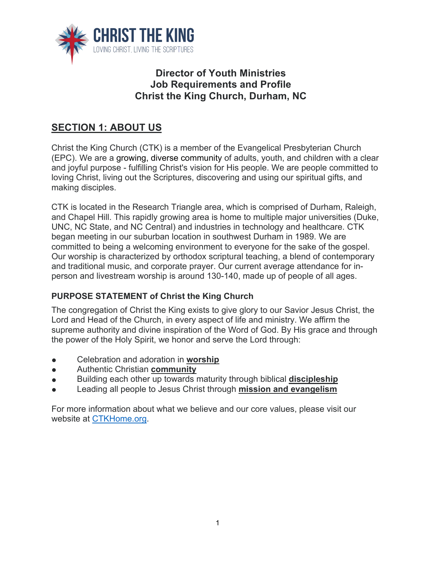

## **Director of Youth Ministries Job Requirements and Profile Christ the King Church, Durham, NC**

# **SECTION 1: ABOUT US**

Christ the King Church (CTK) is a member of the Evangelical Presbyterian Church (EPC). We are a growing, diverse community of adults, youth, and children with a clear and joyful purpose - fulfilling Christ's vision for His people. We are people committed to loving Christ, living out the Scriptures, discovering and using our spiritual gifts, and making disciples.

CTK is located in the Research Triangle area, which is comprised of Durham, Raleigh, and Chapel Hill. This rapidly growing area is home to multiple major universities (Duke, UNC, NC State, and NC Central) and industries in technology and healthcare. CTK began meeting in our suburban location in southwest Durham in 1989. We are committed to being a welcoming environment to everyone for the sake of the gospel. Our worship is characterized by orthodox scriptural teaching, a blend of contemporary and traditional music, and corporate prayer. Our current average attendance for inperson and livestream worship is around 130-140, made up of people of all ages.

## **PURPOSE STATEMENT of Christ the King Church**

The congregation of Christ the King exists to give glory to our Savior Jesus Christ, the Lord and Head of the Church, in every aspect of life and ministry. We affirm the supreme authority and divine inspiration of the Word of God. By His grace and through the power of the Holy Spirit, we honor and serve the Lord through:

- Celebration and adoration in **worship**
- Authentic Christian **community**
- Building each other up towards maturity through biblical **discipleship**
- Leading all people to Jesus Christ through **mission and evangelism**

For more information about what we believe and our core values, please visit our website at CTKHome.org.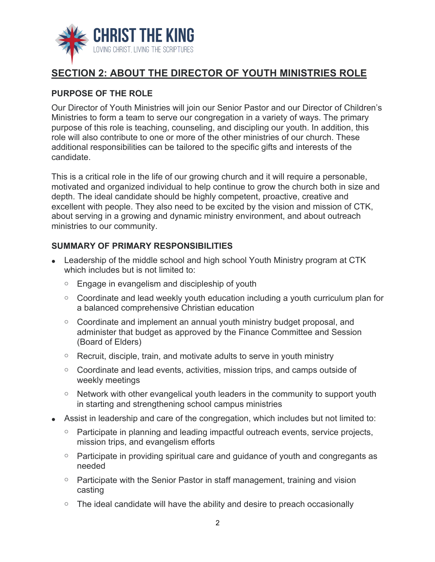

# **SECTION 2: ABOUT THE DIRECTOR OF YOUTH MINISTRIES ROLE**

#### **PURPOSE OF THE ROLE**

Our Director of Youth Ministries will join our Senior Pastor and our Director of Children's Ministries to form a team to serve our congregation in a variety of ways. The primary purpose of this role is teaching, counseling, and discipling our youth. In addition, this role will also contribute to one or more of the other ministries of our church. These additional responsibilities can be tailored to the specific gifts and interests of the candidate.

This is a critical role in the life of our growing church and it will require a personable, motivated and organized individual to help continue to grow the church both in size and depth. The ideal candidate should be highly competent, proactive, creative and excellent with people. They also need to be excited by the vision and mission of CTK, about serving in a growing and dynamic ministry environment, and about outreach ministries to our community.

#### **SUMMARY OF PRIMARY RESPONSIBILITIES**

- Leadership of the middle school and high school Youth Ministry program at CTK which includes but is not limited to:
	- $\circ$  Engage in evangelism and discipleship of youth
	- o Coordinate and lead weekly youth education including a youth curriculum plan for a balanced comprehensive Christian education
	- o Coordinate and implement an annual youth ministry budget proposal, and administer that budget as approved by the Finance Committee and Session (Board of Elders)
	- $\circ$  Recruit, disciple, train, and motivate adults to serve in youth ministry
	- o Coordinate and lead events, activities, mission trips, and camps outside of weekly meetings
	- Network with other evangelical youth leaders in the community to support youth in starting and strengthening school campus ministries
- Assist in leadership and care of the congregation, which includes but not limited to:
	- Participate in planning and leading impactful outreach events, service projects, mission trips, and evangelism efforts
	- Participate in providing spiritual care and guidance of youth and congregants as needed
	- $\circ$  Participate with the Senior Pastor in staff management, training and vision casting
	- $\circ$  The ideal candidate will have the ability and desire to preach occasionally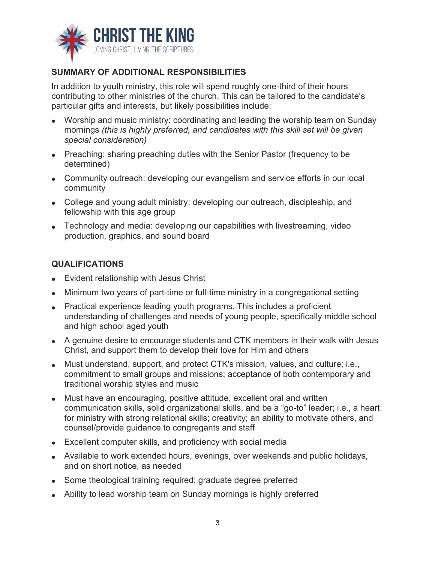

## **SUMMARY OF ADDITIONAL RESPONSIBILITIES**

In addition to youth ministry, this role will spend roughly one-third of their hours contributing to other ministries of the church. This can be tailored to the candidate's particular gifts and interests, but likely possibilities include:

- Worship and music ministry: coordinating and leading the worship team on Sunday mornings *(this is highly preferred, and candidates with this skill set will be given special consideration)*
- Preaching: sharing preaching duties with the Senior Pastor (frequency to be determined)
- Community outreach: developing our evangelism and service efforts in our local community
- College and young adult ministry: developing our outreach, discipleship, and fellowship with this age group
- Technology and media: developing our capabilities with livestreaming, video production, graphics, and sound board

#### **QUALIFICATIONS**

- Evident relationship with Jesus Christ
- Minimum two years of part-time or full-time ministry in a congregational setting
- Practical experience leading youth programs. This includes a proficient understanding of challenges and needs of young people, specifically middle school and high school aged youth
- A genuine desire to encourage students and CTK members in their walk with Jesus Christ, and support them to develop their love for Him and others
- Must understand, support, and protect CTK's mission, values, and culture; i.e., commitment to small groups and missions; acceptance of both contemporary and traditional worship styles and music
- Must have an encouraging, positive attitude, excellent oral and written communication skills, solid organizational skills, and be a "go-to" leader; i.e., a heart for ministry with strong relational skills; creativity; an ability to motivate others, and counsel/provide guidance to congregants and staff
- Excellent computer skills, and proficiency with social media
- Available to work extended hours, evenings, over weekends and public holidays, and on short notice, as needed
- Some theological training required; graduate degree preferred
- Ability to lead worship team on Sunday mornings is highly preferred